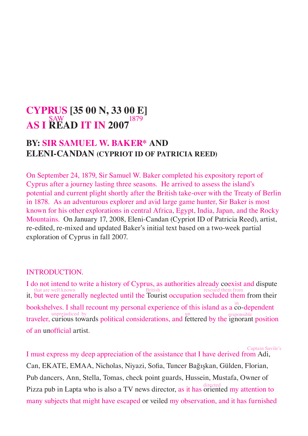# **CYPRUS [35 00 N, 33 00 E] AS I READ IT IN 2007<sup>1879</sup>**

### **BY: SIR SAMUEL W. BAKER\* AND ELENI-CANDAN (CYPRIOT ID OF PATRICIA REED)**

On September 24, 1879, Sir Samuel W. Baker completed his expository report of Cyprus after a journey lasting three seasons. He arrived to assess the island's potential and current plight shortly after the British take-over with the Treaty of Berlin in 1878. As an adventurous explorer and avid large game hunter, Sir Baker is most known for his other explorations in central Africa, Egypt, India, Japan, and the Rocky Mountains. On January 17, 2008, Eleni-Candan (Cypriot ID of Patricia Reed), artist, re-edited, re-mixed and updated Baker's initial text based on a two-week partial exploration of Cyprus in fall 2007.

#### INTRODUCTION.

I do not intend to write a history of Cyprus, as authorities already coexist and dispute that are well known<br>it, but were generally neglected until the Tourist occupation secluded them from their<br>that the Tourist occupation secluded them from their bookshelves. I shall recount my personal experience of this island as a co-dependent unprejudiced by<br>traveler, curious towards political considerations, and fettered by the ignorant position of an unofficial artist.

I must express my deep appreciation of the assistance that I have derived from Adi, Can, EKATE, EMAA, Nicholas, Niyazi, Sofia, Tuncer Bağışkan, Gülden, Florian, Pub dancers, Ann, Stella, Tomas, check point guards, Hussein, Mustafa, Owner of Pizza pub in Lapta who is also a TV news director, as it has oriented my attention to many subjects that might have escaped or veiled my observation, and it has furnished Captain Savile's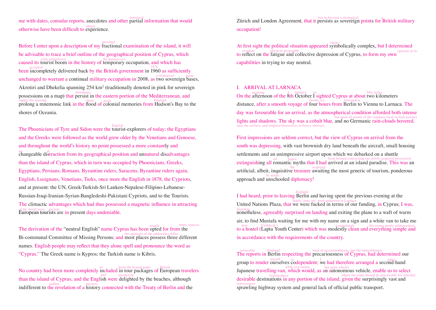me with dates, consular reports, anecdotes and other partial information that would otherwise have been difficult to experience.

Before I enter upon a description of my fractional examination of the island, it will personal be advisable to trace a brief outline of the geographical position of Cyprus, which caused its tourist boom in the history of temporary occupation, and which has caused its tourist boom in the history of temporary occupation, and which has accepted<br>been incompletely delivered back by the British government in 1960 as sufficiently unchanged to warrant a continual military occupation in 2008, as two sovereign bases, a strategical point Akrotiri and Dhekelia spanning  $254 \text{ km}^2$  (traditionally denoted in pink for sovereign possessions on a map) that persist in the eastern portion of the Mediterranean, and supply the missing<br>prolong a mnemonic link in the flood of colonial memories from Hudson's Bay to the shores of Oceania.

The Phoenicians of Tyre and Sidon were the tourist-explorers of today; the Egyptians English and the Greeks were followed as the world grew older by the Venetians and Genoese, and throughout the world's history no point possessed a more constantly and un<br>changeable distraction from its geographical position and unnatural disadvantages than the island of Cyprus, which in turn was occupied by Phoenicians, Greeks, Egyptians, Persians, Romans, Byzantine rulers, Saracens, Byzantine rulers again, English, Lusignans, Venetians, Turks, once more the English in 1878, the Cypriots, and at present: the UN, Greek-Turkish-Sri Lanken-Nepalese-Filipino-Lebanese-Russian-Iraqi-Iranian-Syrian-Bangledeshi-Pakistani Cypriots, and to the Tourists. The climactic advantages which had thus possessed a magnetic influence in attracting

of the world were ancient<br>European tourists are in present days undeniable.

The derivation of the "neutral English" name Cyprus has been opted for from the many sources the opinions of the authorities differ<br>Bi-communal Committee of Missing Persons; and most places possess three different names. English people may reflect that they alone spell and pronounce the word as "Cyprus." The Greek name is Kypros; the Turkish name is Kibris.

No country had been more completely included in tour packages of European travelers than the island of Cyprus, and the English were delighted by the beaches, although indifferent to the revelation of a history connected with the Treaty of Berlin and the

Zürich and London Agreement, that it persists as sovereign points for British military occupation!

At first sight the political situation appeared symbolically complex, but I determined examine physical geography<br>to reflect on the fatigue and collective depression of Cyprus, to form my own<br>opinion of its capabilities in trying to stay neutral.

#### I. ARRIVAL AT LARNACA

On the afternoon of the  $\frac{4}{8}$  January we sighted Cyprus at about two kilometers distance, after a smooth voyage of four hours from Berlin to Vienna to Larnaca. The day was favourable for an arrival, as the atmospherical condition afforded both intense but upon all points of the compass local in dark patches<br>lights and shadows. The sky was a cobalt blue, and no Germanic rain-clouds hovered. near the surface, and emptied themselves in heavy showers.

First impressions are seldom correct, but the view of Cyprus on arrival from the south was depressing, with vast brownish dry land beneath the aircraft, small housing settlements and an unimpressive airport upon which we debarked on a shuttle extinguishing all romantic myths that I had arrived at an island paradise. This was an extinguishing all romantic myths that I had arrived at an island paradise. This was an artificial, albeit, inquisitive treasure awaiting the most generic of tourism, ponderous approach and unschooled diplomacy!

I had heard, prior to leaving Berlin and having spent the previous evening at the England United Nations Plaza, that we were fucked in terms of our funding, in Cyprus; I was, hotels, inns, etc. were unknown in Larnaca therefore nonetheless, agreeably surprised on landing and exiting the plane to a waft of warm air, to find Mustafa waiting for me with my name on a sign and a white van to take me new Craddock's Craddock's crapulously the rooms neatly whitewashed, to a hostel (Lapta Youth Center) which was modestly clean and everything simple and in accordance with the requirements of the country.

miserable England want of accommodation, and the unhealthiness<br>The reports in Berlin respecting the precariousness of Cyprus, had determined our group to render ourselves codependent; we had therefore arranged a second-hand gipsy. while in London hut upon wheels<br>Japanese travelling-van, which would, as an autonomous vehicle, enable us to select desirable destinations in any portion of the island, given the surprisingly vast and desirable destinations in any portion of the island, given the surprisingly vast and sprawling highway system and general lack of official public transport. conveyances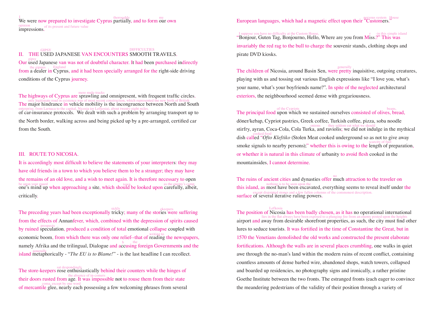We were now prepared to investigate Cyprus partially, and to form our own  $\frac{m_y}{m_y}$ opinion of its present and future value<br> **impressions.** 

## **III.** THE USED JAPANESE VAN ENCOUNTERS SMOOTH TRAVELS. Our used Japanese van was not of doubtful character. It had been purchased indirectly gipsy the gipsies England<br>from a dealer in Cyprus, and it had been specially arranged for the right-side driving conditions of the Cyprus journey.

The highways of Cyprus are sprawling and omnipresent, with frequent traffic circles. only legitimate road in existence was of most recent construction, which represented the new birth of British The major hindrance in vehicle mobility is the incongruence between North and South enterprise, from Larnaca to the capital, Nicosia (or Lefkosia), about twenty-eight miles.<br>of car-insurance protocols. We dealt with such a problem by arranging transport up to the North border, walking across and being picked up by a pre-arranged, certified car from the South.

#### III. ROUTE TO NICOSIA.

It is accordingly most difficult to believe the statements of your interpreters: they may have old friends in a town to which you believe them to be a stranger; they may have the remains of an old love, and a wish to meet again. It is therefore necessary to open be upon your guard **one's mind up when approaching a site, which should be looked upon carefully, albeit,** critically.

The preceding years had been exceptionally tricky; many of the stories were suffering from the effects of Annanfever, which, combined with the depression of spirits caused by ruined speculation, produced a condition of total emotional collapse coupled with economic boom, from which there was only one relief--that of reading the newspapers, namely Afrika and the trilingual, Dialogue and accusing foreign Governments and the island metaphorically - "*The EU is to Blame!*" - is the last headline I can recollect.

The store-keepers rose enthusiastically behind their counters while the hinges of the absence of in-comers<br>their doors rusted from age. It was impossible not to rouse them from their state of mercantile glee, nearly each possessing a few welcoming phrases from several coma, except by one word European languages, which had a magnetic effect upon their "Customers. nervous system House

I suppose you have no difficulty at the Custom House,<br>"Bonjour, Guten Tag, Bonjourno, Hello, Where are you from Miss.?" This was invariably the red rag to the bull to charge the souvenir stands, clothing shops and pirate DVD kiosks.

The children of Nicosia, around Basin Sen, were pretty inquisitive, outgoing creatures, generally playing with us and tossing out various English expressions like "I love you, what's your name, what's your boyfriends name?". In spite of the neglected architectural exteriors, the neighbourhood seemed dense with gregariousness.

of the Cypriots of the Cypriots beans, beans, beans, beans, beans, consisted of olives, bread, döner/kebap, Cypriot pastries, Greek coffee, Turkish coffee, pizza, soba noodle stirfry, ayran, Coca-Cola, Cola Turka, and raviolis; we did not indulge in the mythical dish called "Ofto Kleftiko (Stolen Meat cooked underground so as not to give away smoke signals to nearby persons);" whether this is owing to the length of preparation, or whether it is natural in this climate of urbanity to avoid flesh cooked in the mountainsides, I cannot determine.

The ruins of ancient cities and dynasties offer much attraction to the traveler on this island, as most have been upon the the second problem seems to reveal itself under the the seen upon the under the seems to reveal itself under the except disjointed stones and a few fallen columns of the commonest description.<br> **surface of several iterative ruling powers.** 

The position of Nicosia has been badly chosen, as it has no operational international Lefkosia lies in the flat always have been exposed to a plunging fire from an enemy posted upon the heights airport and away from desirable shorefront properties, as such, the city must find other lures to seduce tourists. It was fortified in the time of Constantine the Great, but in 1570 the Venetians demolished the old works and constructed the present elaborate fortifications. Although the walls are in several places crumbling, one walks in quiet awe through the no-man's land within the modern ruins of recent conflict, containing countless amounts of dense barbed wire, abandoned shops, watch towers, collapsed and boarded up residencies, no photography signs and ironically, a rather pristine Goethe Institute between the two fronts. The estranged fronts (each eager to convince the meandering pedestrians of the validity of their position through a variety of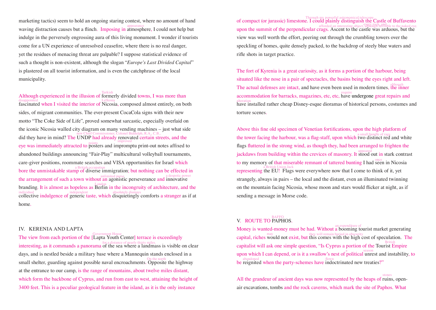marketing tactics) seem to hold an ongoing staring contest, where no amount of hand waving distraction causes but a flinch. Imposing in atmosphere, I could not help but indulge in the perversely engrossing aura of this living monument. I wonder if tourists come for a UN experience of unresolved ceasefire, where there is no real danger, yet the residues of menacing threat are palpable? I suppose statistical evidence of such a thought is non-existent, although the slogan "*Europe's Last Divided Capital*" is plastered on all tourist information, and is even the catchphrase of the local municipality.

Although experienced in the illusion of formerly divided towns, I was more than fascinated when I visited the interior of Nicosia, composed almost entirely, on both disappointed Lefkosia sides, of migrant communities. The ever-present CocaCola signs with their new motto "The Coke Side of Life", proved somewhat sarcastic, especially overlaid on the iconic Nicosia walled city diagram on many vending machines – just what side new Chief Commissioner, Colonel Biddulph, R.A., C.B.,<br>did they have in mind? The UNDP had already renovated certain streets, and the eye was immediately attracted to points and impromptu print-out notes affixed to abandoned buildings announcing "Fair-Play" multicultural volleyball tournaments, care-giver positions, roommate searches and VISA opportunities for Israel which bore the unmistakable stamp of diverse immigration; but nothing can be effected in the arrangement of such a town without an agonistic perseverance and innovative<br>the arrangement of such a town without an agonistic perseverance and innovative branding. It is almost as hopeless as Berlin in the incongruity of architecture, and the London individual independent absolutely dismays<br>collective indulgence of generic taste, which disquietingly comforts a stranger as if at home.

#### IV. KERENIA AND LAPTA

The view from each portion of the [Lapta Youth Center] terrace is exceedingly Government House interesting, as it commands a panorama of the sea where a landmass is visible on clear for a distance of nearly thirty miles. days, and is nestled beside a military base where a Mannequin stands enclosed in a small shelter, guarding against possible naval encroachments. Opposite the highway at the entrance to our camp, is the range of mountains, about twelve miles distant, which form the backbone of Cyprus, and run from east to west, attaining the height of 3400 feet. This is a peculiar geological feature in the island, as it is the only instance

Through my powerful astronomical telescope<br>
of compact (or jurassic) limestone. I could plainly distinguish the Castle of Buffavento afforded an interesting object, although invisible to the naked eye.<br>
upon the summit of the perpendicular crags. Ascent to the castle was arduous, but the view was well worth the effort, peering out through the crumbling towers over the speckling of homes, quite densely packed, to the backdrop of steely blue waters and rifle shots in target practice.

The fort of Kyrenia is a great curiosity, as it forms a portion of the harbour, being situated like the nose in a pair of spectacles, the basins being the eyes right and left. The actual defenses are intact, and have even been used in modern times, the inner accommodation for barracks, magazines, etc, etc, have undergone great repairs and alteration<br>have installed rather cheap Disney-esque dioramas of historical persons, costumes and torture scenes.

Above this fine old specimen of Venetian fortifications, upon the high platform of the tower facing the harbour, was a flag-staff, upon which two distinct red and white flags fluttered in the strong wind, as though they, had been arranged to frighten the jackdaws from building within the crevices of masonry. It stood out in stark contrast to my memory of that miserable remnant of tattered bunting I had seen in Nicosia representing the EU! Flags were everywhere now that I come to think of it, yet strangely, always in pairs – the local and the distant, even an illuminated twinning on the mountain facing Nicosia, whose moon and stars would flicker at night, as if sending a message in Morse code.

## V. ROUTE TO PAPHOS.

Money is wanted-money must be had. Without a booming tourist market generating may they will remain buried in obscurity<br>capital, riches would not exist, but this comes with the high cost of speculation. The capitalist will ask one simple question, "Is Cyprus a portion of the Tourist Empire British upon which I can depend, or is it a swallow's nest of  $\overset{a}{\text{political}}$  unrest and instability, to abandoned<br>be reignited when the party-schemes have indoctrinated new treaties?"

All the grandeur of ancient days was now represented by the heaps of ruins, openair excavations, tombs and the rock caverns, which mark the site of Paphos. What